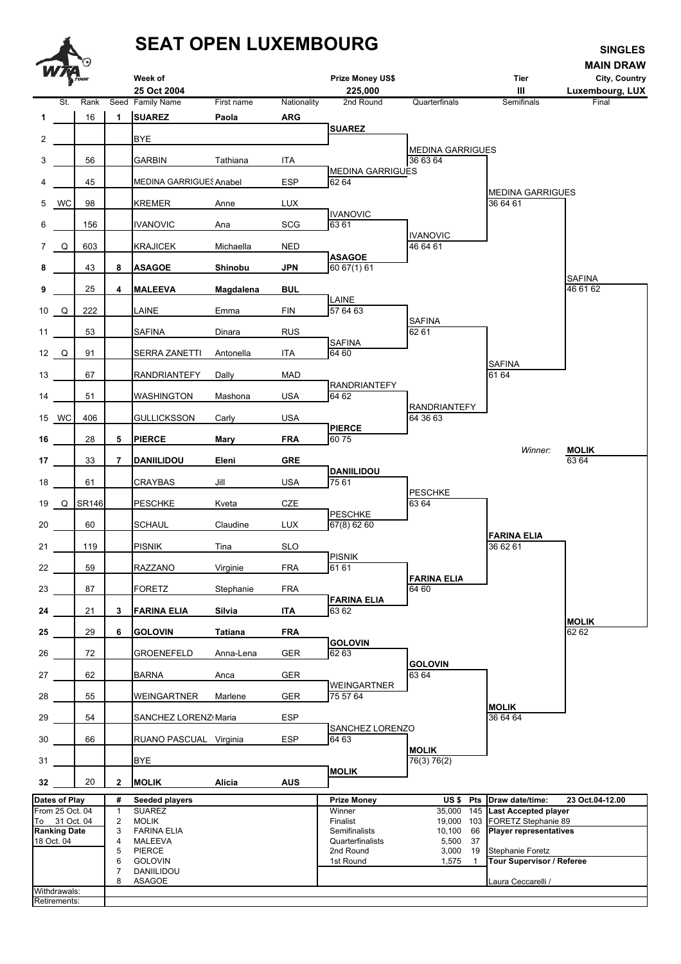## **SEAT OPEN LUXEMBOURG**



| Dates of Play       | # | Seeded players     | <b>Prize Monev</b> | US \$  |      | Pts Draw date/time:<br>23 Oct.04-12.00 |
|---------------------|---|--------------------|--------------------|--------|------|----------------------------------------|
| From 25 Oct. 04     |   | <b>SUAREZ</b>      | Winner             | 35,000 |      | 145 Last Accepted player               |
| To 31 Oct. 04       |   | MOLIK              | Finalist           | 19.000 |      | 103 FORETZ Stephanie 89                |
| <b>Ranking Date</b> |   | <b>FARINA ELIA</b> | Semifinalists      | 10,100 |      | 66 Player representatives              |
| 18 Oct. 04          | 4 | MALEEVA            | Quarterfinalists   | 5.500  | - 37 |                                        |
|                     |   | <b>PIERCE</b>      | 2nd Round          | 3.000  | 19   | Stephanie Foretz                       |
|                     | 6 | <b>GOLOVIN</b>     | 1st Round          | 1,575  |      | Tour Supervisor / Referee              |
|                     |   | DANIILIDOU         |                    |        |      |                                        |
|                     | 8 | ASAGOE             |                    |        |      | Laura Ceccarelli /                     |
| Withdrawals:        |   |                    |                    |        |      |                                        |
| Retirements:        |   |                    |                    |        |      |                                        |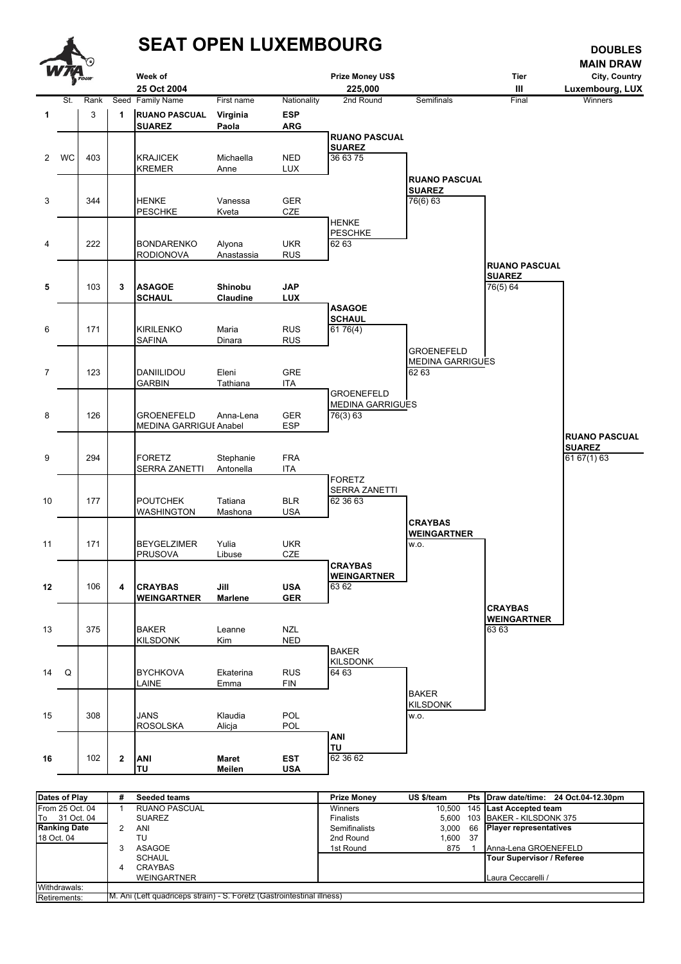

| Dates of Play       | #                                                                      | <b>Seeded teams</b>  | <b>Prize Money</b>   | US \$/team |  | Pts Draw date/time: 24 Oct.04-12.30pm |  |
|---------------------|------------------------------------------------------------------------|----------------------|----------------------|------------|--|---------------------------------------|--|
| From 25 Oct. 04     |                                                                        | <b>RUANO PASCUAL</b> | Winners              |            |  | 10,500 145 Last Accepted team         |  |
| To 31 Oct. 04       |                                                                        | <b>SUAREZ</b>        | <b>Finalists</b>     |            |  | 5.600 103 BAKER - KILSDONK 375        |  |
| <b>Ranking Date</b> | 2                                                                      | ANI                  | <b>Semifinalists</b> | 3.000      |  | 66 Player representatives             |  |
| 18 Oct. 04          |                                                                        | TU                   | 2nd Round            | 1.600 37   |  |                                       |  |
|                     |                                                                        | ASAGOE               | 1st Round            | 875        |  | Anna-Lena GROENEFELD                  |  |
|                     |                                                                        | <b>SCHAUL</b>        |                      |            |  | Tour Supervisor / Referee             |  |
|                     | 4                                                                      | CRAYBAS              |                      |            |  |                                       |  |
|                     |                                                                        | <b>WEINGARTNER</b>   |                      |            |  | Laura Ceccarelli /                    |  |
| Withdrawals:        |                                                                        |                      |                      |            |  |                                       |  |
| Retirements:        | M. Ani (Left quadriceps strain) - S. Foretz (Gastrointestinal illness) |                      |                      |            |  |                                       |  |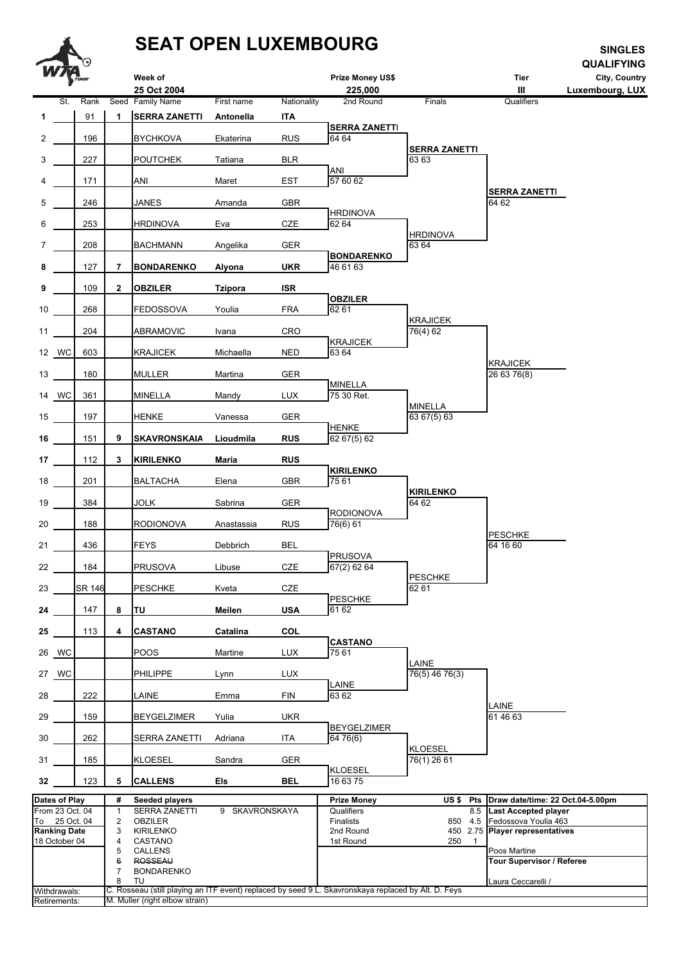## **SEAT OPEN LUXEMBOURG SEAT OPEN LUXEMBOURG**



7 BONDARENKO 8 TU Laura Ceccarelli / *8* Withdrawals: C. Rosseau (still playing an ITF event) replaced by seed 9 L. Skavronskaya replaced by Alt. D. Feys Retirements: M. Muller (right elbow strain)